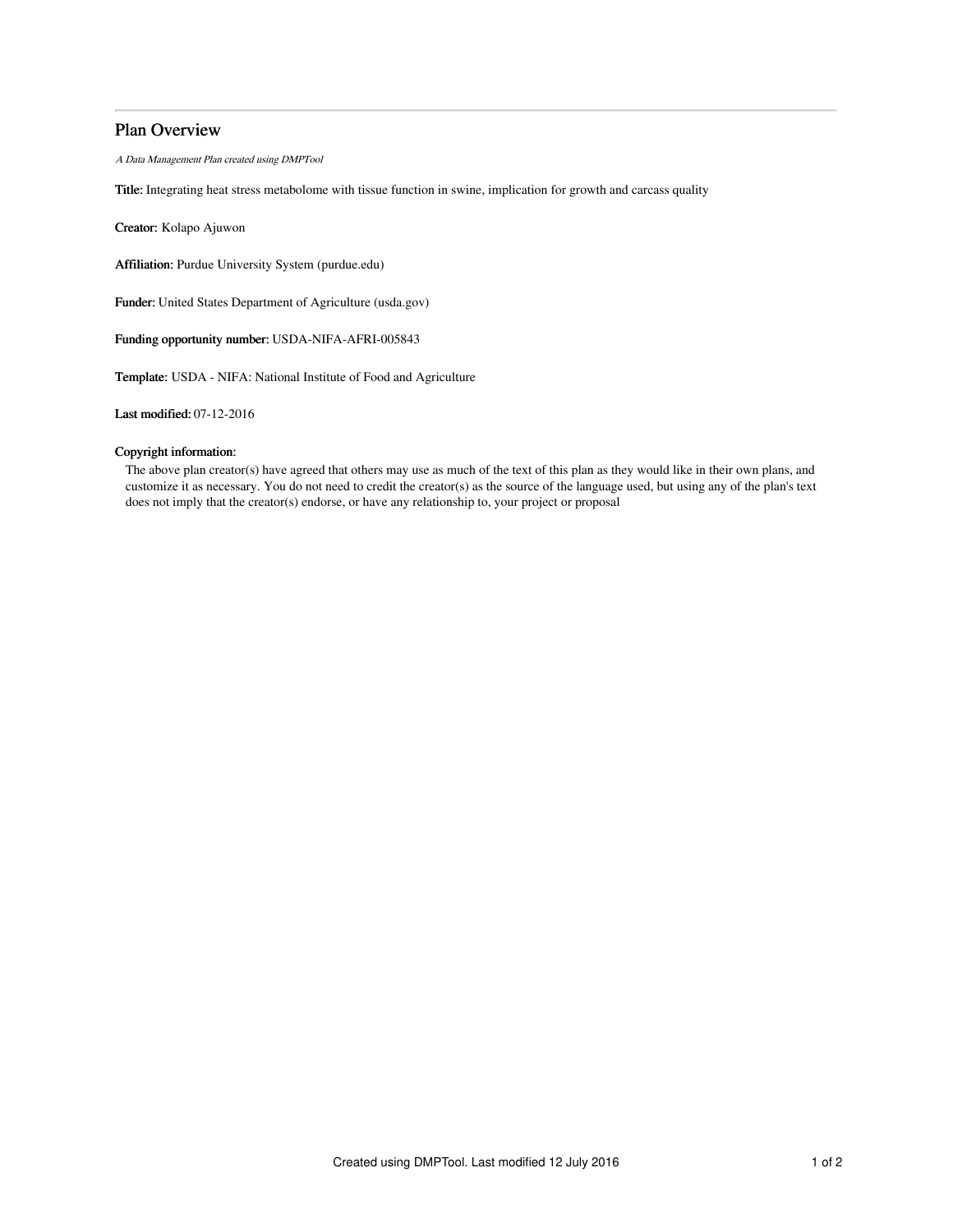# Plan Overview

A Data Management Plan created using DMPTool

Title: Integrating heat stress metabolome with tissue function in swine, implication for growth and carcass quality

Creator: Kolapo Ajuwon

Affiliation: Purdue University System (purdue.edu)

Funder: United States Department of Agriculture (usda.gov)

Funding opportunity number: USDA-NIFA-AFRI-005843

Template: USDA - NIFA: National Institute of Food and Agriculture

Last modified: 07-12-2016

## Copyright information:

The above plan creator(s) have agreed that others may use as much of the text of this plan as they would like in their own plans, and customize it as necessary. You do not need to credit the creator(s) as the source of the language used, but using any of the plan's text does not imply that the creator(s) endorse, or have any relationship to, your project or proposal